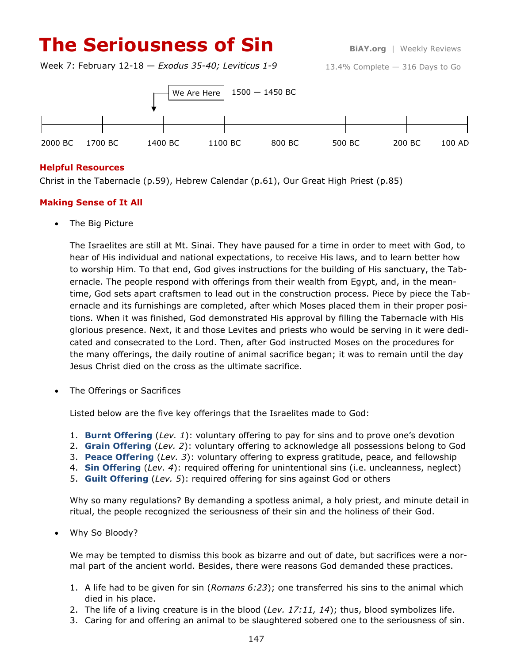# **The Seriousness of Sin BiAY.org** | Weekly Reviews

Week 7: February 12-18 — *Exodus 35-40; Leviticus 1-9*





#### **Helpful Resources**

Christ in the Tabernacle (p.59), Hebrew Calendar (p.61), Our Great High Priest (p.85)

## **Making Sense of It All**

• The Big Picture

The Israelites are still at Mt. Sinai. They have paused for a time in order to meet with God, to hear of His individual and national expectations, to receive His laws, and to learn better how to worship Him. To that end, God gives instructions for the building of His sanctuary, the Tabernacle. The people respond with offerings from their wealth from Egypt, and, in the meantime, God sets apart craftsmen to lead out in the construction process. Piece by piece the Tabernacle and its furnishings are completed, after which Moses placed them in their proper positions. When it was finished, God demonstrated His approval by filling the Tabernacle with His glorious presence. Next, it and those Levites and priests who would be serving in it were dedicated and consecrated to the Lord. Then, after God instructed Moses on the procedures for the many offerings, the daily routine of animal sacrifice began; it was to remain until the day Jesus Christ died on the cross as the ultimate sacrifice.

The Offerings or Sacrifices

Listed below are the five key offerings that the Israelites made to God:

- 1. **Burnt Offering** (*Lev. 1*): voluntary offering to pay for sins and to prove one's devotion
- 2. **Grain Offering** (*Lev. 2*): voluntary offering to acknowledge all possessions belong to God
- 3. **Peace Offering** (*Lev. 3*): voluntary offering to express gratitude, peace, and fellowship
- 4. **Sin Offering** (*Lev. 4*): required offering for unintentional sins (i.e. uncleanness, neglect)
- 5. **Guilt Offering** (*Lev. 5*): required offering for sins against God or others

Why so many regulations? By demanding a spotless animal, a holy priest, and minute detail in ritual, the people recognized the seriousness of their sin and the holiness of their God.

Why So Bloody?

We may be tempted to dismiss this book as bizarre and out of date, but sacrifices were a normal part of the ancient world. Besides, there were reasons God demanded these practices.

- 1. A life had to be given for sin (*Romans 6:23*); one transferred his sins to the animal which died in his place.
- 2. The life of a living creature is in the blood (*Lev. 17:11, 14*); thus, blood symbolizes life.
- 3. Caring for and offering an animal to be slaughtered sobered one to the seriousness of sin.